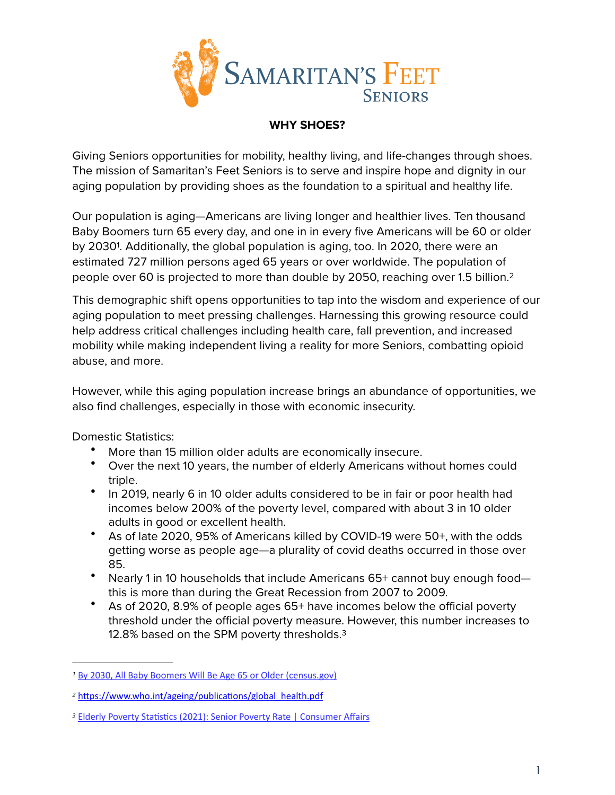

## <span id="page-0-4"></span>**WHY SHOES?**

Giving Seniors opportunities for mobility, healthy living, and life-changes through shoes. The mission of Samaritan's Feet Seniors is to serve and inspire hope and dignity in our aging population by providing shoes as the foundation to a spiritual and healthy life.

<span id="page-0-3"></span>Our population is aging—Americans are living longer and healthier lives. Ten thousand Baby Boomers turn 65 every day, and one in in every five Americans will be 60 or older by 2030<sup>[1](#page-0-0)</sup>. Additionally, the global population is aging, too. In 2020, there were an estimated 727 million persons aged 65 years or over worldwide. The population of people over 60 is projected to more than double by 2050, reaching over 1.5 billion[.2](#page-0-1)

This demographic shift opens opportunities to tap into the wisdom and experience of our aging population to meet pressing challenges. Harnessing this growing resource could help address critical challenges including health care, fall prevention, and increased mobility while making independent living a reality for more Seniors, combatting opioid abuse, and more.

However, while this aging population increase brings an abundance of opportunities, we also find challenges, especially in those with economic insecurity.

Domestic Statistics:

- More than 15 million older adults are economically insecure.
- Over the next 10 years, the number of elderly Americans without homes could triple.
- In 2019, nearly 6 in 10 older adults considered to be in fair or poor health had incomes below 200% of the poverty level, compared with about 3 in 10 older adults in good or excellent health.
- As of late 2020, 95% of Americans killed by COVID-19 were 50+, with the odds getting worse as people age—a plurality of covid deaths occurred in those over 85.
- Nearly 1 in 10 households that include Americans 65+ cannot buy enough food this is more than during the Great Recession from 2007 to 2009.
- <span id="page-0-5"></span>• As of 2020, 8.9% of people ages 65+ have incomes below the official poverty threshold under the official poverty measure. However, this number increases to 12.8% based on the SPM poverty thresholds.<sup>3</sup>

<span id="page-0-0"></span>[By 2030, All Baby Boomers Will Be Age 65 or Older \(census.gov\)](https://www.census.gov/library/stories/2019/12/by-2030-all-baby-boomers-will-be-age-65-or-older.html) *[1](#page-0-3)*

<span id="page-0-1"></span><sup>&</sup>lt;sup>[2](#page-0-4)</sup> https://www.who.int/ageing/publications/global\_health.pdf

<span id="page-0-2"></span><sup>&</sup>lt;sup>[3](#page-0-5)</sup> Elderly Poverty Statistics (2021): Senior Poverty Rate | Consumer Affairs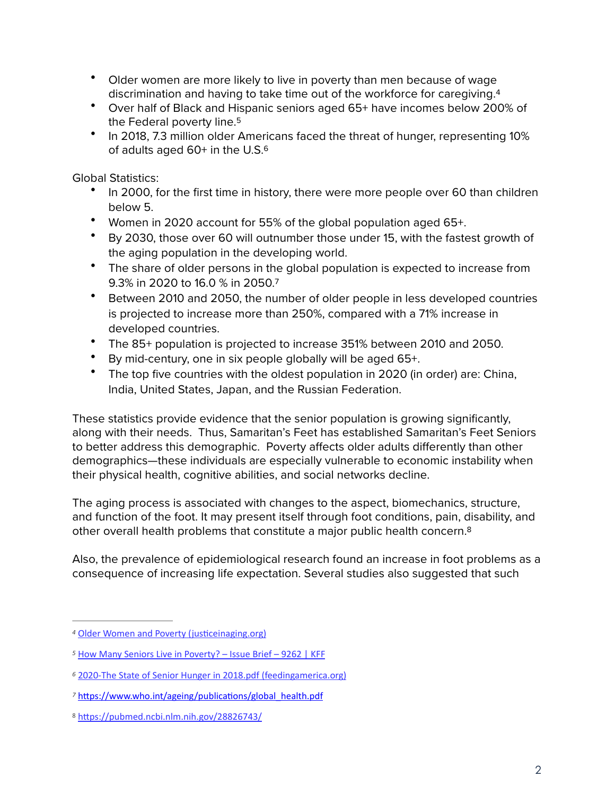- <span id="page-1-5"></span>• Older women are more likely to live in poverty than men because of wage discrimination and having to take time out of the workforce for caregiving.[4](#page-1-0)
- <span id="page-1-6"></span>• Over half of Black and Hispanic seniors aged 65+ have incomes below 200% of the Federal poverty line.<sup>5</sup>
- <span id="page-1-7"></span>• In 2018, 7.3 million older Americans faced the threat of hunger, representing 10% of adults aged [6](#page-1-2)0+ in the U.S.<sup>6</sup>

Global Statistics:

- In 2000, for the first time in history, there were more people over 60 than children below 5.
- Women in 2020 account for 55% of the global population aged 65+.
- By 2030, those over 60 will outnumber those under 15, with the fastest growth of the aging population in the developing world.
- The share of older persons in the global population is expected to increase from 9.3% in 2020 to 16.0 % in 2050.[7](#page-1-3)
- <span id="page-1-8"></span>• Between 2010 and 2050, the number of older people in less developed countries is projected to increase more than 250%, compared with a 71% increase in developed countries.
- The 85+ population is projected to increase 351% between 2010 and 2050.
- By mid-century, one in six people globally will be aged 65+.
- The top five countries with the oldest population in 2020 (in order) are: China, India, United States, Japan, and the Russian Federation.

These statistics provide evidence that the senior population is growing significantly, along with their needs. Thus, Samaritan's Feet has established Samaritan's Feet Seniors to better address this demographic. Poverty affects older adults differently than other demographics—these individuals are especially vulnerable to economic instability when their physical health, cognitive abilities, and social networks decline.

<span id="page-1-9"></span>The aging process is associated with changes to the aspect, biomechanics, structure, and function of the foot. It may present itself through foot conditions, pain, disability, and other overall health problems that constitute a major public health concern[.8](#page-1-4)

Also, the prevalence of epidemiological research found an increase in foot problems as a consequence of increasing life expectation. Several studies also suggested that such

<span id="page-1-0"></span><sup>&</sup>lt;sup>[4](#page-1-5)</sup> Older Women and Poverty (justiceinaging.org)

<span id="page-1-1"></span>*[<sup>5</sup>](#page-1-6)* [How Many Seniors Live in Poverty? – Issue Brief – 9262 | KFF](https://www.kff.org/report-section/how-many-seniors-live-in-poverty-issue-brief/)

<span id="page-1-2"></span>[<sup>2020-</sup>The State of Senior Hunger in 2018.pdf \(feedingamerica.org\)](https://www.feedingamerica.org/sites/default/files/2020-05/2020-The%25252520State%25252520of%25252520Senior%25252520Hunger%25252520in%252525202018.pdf) *[6](#page-1-7)*

<span id="page-1-3"></span><sup>&</sup>lt;sup>[7](#page-1-8)</sup> https://www.who.int/ageing/publications/global\_health.pdf

<span id="page-1-4"></span>[<sup>8</sup>](#page-1-9) https://pubmed.ncbi.nlm.nih.gov/28826743/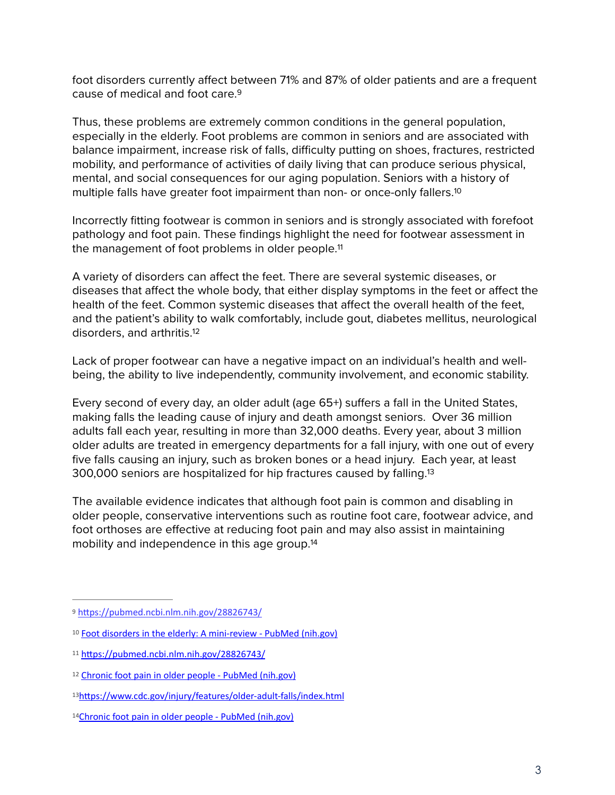<span id="page-2-6"></span>foot disorders currently affect between 71% and 87% of older patients and are a frequent cause of medical and foot care[.9](#page-2-0)

Thus, these problems are extremely common conditions in the general population, especially in the elderly. Foot problems are common in seniors and are associated with balance impairment, increase risk of falls, difficulty putting on shoes, fractures, restricted mobility, and performance of activities of daily living that can produce serious physical, mental, and social consequences for our aging population. Seniors with a history of multiple falls have greater foot impairment than non- or once-only fallers[.10](#page-2-1)

<span id="page-2-8"></span><span id="page-2-7"></span>Incorrectly fitting footwear is common in seniors and is strongly associated with forefoot pathology and foot pain. These findings highlight the need for footwear assessment in the management of foot problems in older people.<sup>11</sup>

A variety of disorders can affect the feet. There are several systemic diseases, or diseases that affect the whole body, that either display symptoms in the feet or affect the health of the feet. Common systemic diseases that affect the overall health of the feet, and the patient's ability to walk comfortably, include gout, diabetes mellitus, neurological disorders, and arthritis.[12](#page-2-3)

<span id="page-2-9"></span>Lack of proper footwear can have a negative impact on an individual's health and wellbeing, the ability to live independently, community involvement, and economic stability.

Every second of every day, an older adult (age 65+) suffers a fall in the United States, making falls the leading cause of injury and death amongst seniors. Over 36 million adults fall each year, resulting in more than 32,000 deaths. Every year, about 3 million older adults are treated in emergency departments for a fall injury, with one out of every five falls causing an injury, such as broken bones or a head injury. Each year, at least 300,000 seniors are hospitalized for hip fractures caused by falling[.13](#page-2-4)

<span id="page-2-11"></span><span id="page-2-10"></span>The available evidence indicates that although foot pain is common and disabling in older people, conservative interventions such as routine foot care, footwear advice, and foot orthoses are effective at reducing foot pain and may also assist in maintaining mobility and independence in this age group.<sup>14</sup>

<span id="page-2-0"></span><sup>&</sup>lt;sup>[9](#page-2-6)</sup> https://pubmed.ncbi.nlm.nih.gov/28826743/

<span id="page-2-1"></span><sup>&</sup>lt;sup>10</sup> [Foot disorders in the elderly: A mini-review - PubMed \(nih.gov\)](https://pubmed.ncbi.nlm.nih.gov/28826743/)

<span id="page-2-2"></span> $11$  https://pubmed.ncbi.nlm.nih.gov/28826743/

<span id="page-2-3"></span><sup>&</sup>lt;sup>12</sup> [Chronic foot pain in older people - PubMed \(nih.gov\)](https://pubmed.ncbi.nlm.nih.gov/27451329/)

<span id="page-2-4"></span>[<sup>13</sup>](#page-2-10)https://www.cdc.gov/injury/features/older-adult-falls/index.html

<span id="page-2-5"></span><sup>14</sup>[Chronic foot pain in older people - PubMed \(nih.gov\)](https://pubmed.ncbi.nlm.nih.gov/27451329/)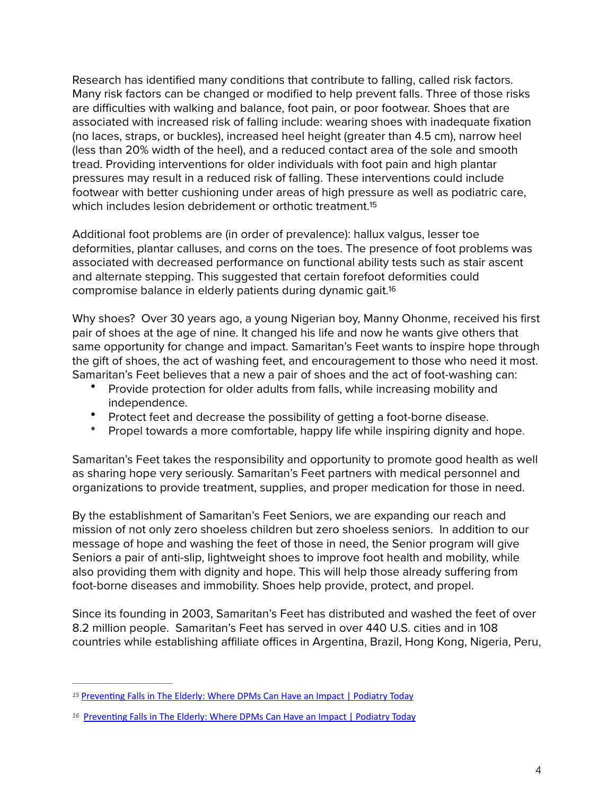Research has identified many conditions that contribute to falling, called risk factors. Many risk factors can be changed or modified to help prevent falls. Three of those risks are difficulties with walking and balance, foot pain, or poor footwear. Shoes that are associated with increased risk of falling include: wearing shoes with inadequate fixation (no laces, straps, or buckles), increased heel height (greater than 4.5 cm), narrow heel (less than 20% width of the heel), and a reduced contact area of the sole and smooth tread. Providing interventions for older individuals with foot pain and high plantar pressures may result in a reduced risk of falling. These interventions could include footwear with better cushioning under areas of high pressure as well as podiatric care, which includes lesion debridement or orthotic treatment.<sup>15</sup>

<span id="page-3-2"></span>Additional foot problems are (in order of prevalence): hallux valgus, lesser toe deformities, plantar calluses, and corns on the toes. The presence of foot problems was associated with decreased performance on functional ability tests such as stair ascent and alternate stepping. This suggested that certain forefoot deformities could compromise balance in elderly patients during dynamic gait.[16](#page-3-1)

Why shoes? Over 30 years ago, a young Nigerian boy, Manny Ohonme, received his first pair of shoes at the age of nine. It changed his life and now he wants give others that same opportunity for change and impact. Samaritan's Feet wants to inspire hope through the gift of shoes, the act of washing feet, and encouragement to those who need it most. Samaritan's Feet believes that a new a pair of shoes and the act of foot-washing can:

- <span id="page-3-3"></span>• Provide protection for older adults from falls, while increasing mobility and independence.
- Protect feet and decrease the possibility of getting a foot-borne disease.
- Propel towards a more comfortable, happy life while inspiring dignity and hope.

Samaritan's Feet takes the responsibility and opportunity to promote good health as well as sharing hope very seriously. Samaritan's Feet partners with medical personnel and organizations to provide treatment, supplies, and proper medication for those in need.

By the establishment of Samaritan's Feet Seniors, we are expanding our reach and mission of not only zero shoeless children but zero shoeless seniors. In addition to our message of hope and washing the feet of those in need, the Senior program will give Seniors a pair of anti-slip, lightweight shoes to improve foot health and mobility, while also providing them with dignity and hope. This will help those already suffering from foot-borne diseases and immobility. Shoes help provide, protect, and propel.

Since its founding in 2003, Samaritan's Feet has distributed and washed the feet of over 8.2 million people. Samaritan's Feet has served in over 440 U.S. cities and in 108 countries while establishing affiliate offices in Argentina, Brazil, Hong Kong, Nigeria, Peru,

<span id="page-3-0"></span><sup>&</sup>lt;sup>[15](#page-3-2)</sup> Preventing Falls in The Elderly: Where DPMs Can Have an Impact | Podiatry Today

<span id="page-3-1"></span><sup>&</sup>lt;sup>[16](#page-3-3)</sup> Preventing Falls in The Elderly: Where DPMs Can Have an Impact | Podiatry Today